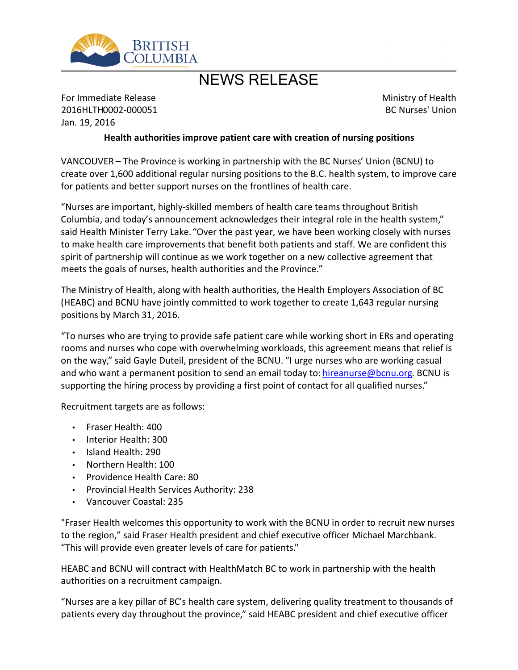

## NEWS RELEASE

For Immediate Release 2016HLTH0002-000051 Jan. 19, 2016

Ministry of Health BC Nurses' Union

## **Health authorities improve patient care with creation of nursing positions**

VANCOUVER - The Province is working in partnership with the BC Nurses' Union (BCNU) to create over 1,600 additional regular nursing positions to the B.C. health system, to improve care for patients and better support nurses on the frontlines of health care.

͞Nurses are important, highly-skilled members of health care teams throughout British Columbia, and today's announcement acknowledges their integral role in the health system," said Health Minister Terry Lake. "Over the past year, we have been working closely with nurses to make health care improvements that benefit both patients and staff. We are confident this spirit of partnership will continue as we work together on a new collective agreement that meets the goals of nurses, health authorities and the Province.<sup>"</sup>

The Ministry of Health, along with health authorities, the Health Employers Association of BC (HEABC) and BCNU have jointly committed to work together to create 1,643 regular nursing positions by March 31, 2016.

͞To nurses who are trying to provide safe patient care while working short in ERs and operating rooms and nurses who cope with overwhelming workloads, this agreement means that relief is on the way," said Gayle Duteil, president of the BCNU. "I urge nurses who are working casual and who want a permanent position to send an email today to: [hireanurse@bcnu.org](mailto:hireanurse@bcnu.org). BCNU is supporting the hiring process by providing a first point of contact for all qualified nurses."

Recruitment targets are as follows:

- Fraser Health: 400
- Interior Health: 300
- Island Health: 290
- Northern Health: 100
- Providence Health Care: 80
- Provincial Health Services Authority: 238
- Vancouver Coastal: 235

"Fraser Health welcomes this opportunity to work with the BCNU in order to recruit new nurses to the region," said Fraser Health president and chief executive officer Michael Marchbank. ͞This will provide even greater levels of care for patients."

HEABC and BCNU will contract with HealthMatch BC to work in partnership with the health authorities on a recruitment campaign.

͞Nurses are a key pillar of BC͛s health care system, delivering quality treatment to thousands of patients every day throughout the province," said HEABC president and chief executive officer